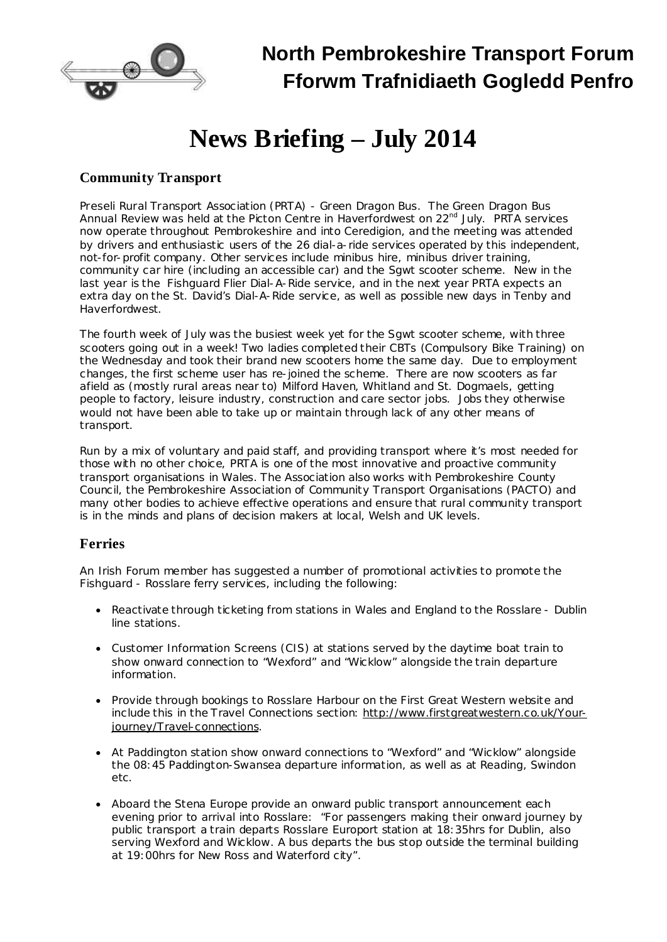

## **North Pembrokeshire Transport Forum Fforwm Trafnidiaeth Gogledd Penfro**

# **News Briefing – July 2014**

#### **Community Transport**

*Preseli Rural Transport Association (PRTA) - Green Dragon Bus.* The Green Dragon Bus Annual Review was held at the Picton Centre in Haverfordwest on 22<sup>nd</sup> July. PRTA services now operate throughout Pembrokeshire and into Ceredigion, and the meeting was attended by drivers and enthusiastic users of the 26 dial-a-ride services operated by this independent, not-for-profit company. Other services include minibus hire, minibus driver training, community car hire (including an accessible car) and the Sgwt scooter scheme. New in the last year is the Fishguard Flier Dial-A-Ride service, and in the next year PRTA expects an extra day on the St. David's Dial-A-Ride service, as well as possible new days in Tenby and Haverfordwest.

The fourth week of July was the busiest week yet for the Sgwt scooter scheme, with three scooters going out in a week! Two ladies completed their CBTs (Compulsory Bike Training) on the Wednesday and took their brand new scooters home the same day. Due to employment changes, the first scheme user has re-joined the scheme. There are now scooters as far afield as (mostly rural areas near to) Milford Haven, Whitland and St. Dogmaels, getting people to factory, leisure industry, construction and care sector jobs. Jobs they otherwise would not have been able to take up or maintain through lack of any other means of transport.

Run by a mix of voluntary and paid staff, and providing transport where it's most needed for those with no other choice, PRTA is one of the most innovative and proactive community transport organisations in Wales. The Association also works with Pembrokeshire County Council, the Pembrokeshire Association of Community Transport Organisations (PACTO) and many other bodies to achieve effective operations and ensure that rural community transport is in the minds and plans of decision makers at local, Welsh and UK levels.

#### **Ferries**

An Irish Forum member has suggested a number of promotional activities to promote the Fishguard - Rosslare ferry services, including the following:

- · Reactivate through ticketing from stations in Wales and England to the Rosslare Dublin line stations.
- · Customer Information Screens (CIS) at stations served by the daytime boat train to show onward connection to "Wexford" and "Wicklow" alongside the train departure information.
- · Provide through bookings to Rosslare Harbour on the First Great Western website and include this in the Travel Connections section: [http://www.firstgreatwestern.co.uk/Your](http://www.firstgreatwestern.co.uk/Your-journey/Travel-connections)[journey/Travel-connections.](http://www.firstgreatwestern.co.uk/Your-journey/Travel-connections)
- · At Paddington station show onward connections to "Wexford" and "Wicklow" alongside the 08:45 Paddington-Swansea departure information, as well as at Reading, Swindon etc.
- · Aboard the Stena Europe provide an onward public transport announcement each evening prior to arrival into Rosslare: "For passengers making their onward journey by public transport a train departs Rosslare Europort station at 18:35hrs for Dublin, also serving Wexford and Wicklow. A bus departs the bus stop outside the terminal building at 19:00hrs for New Ross and Waterford city".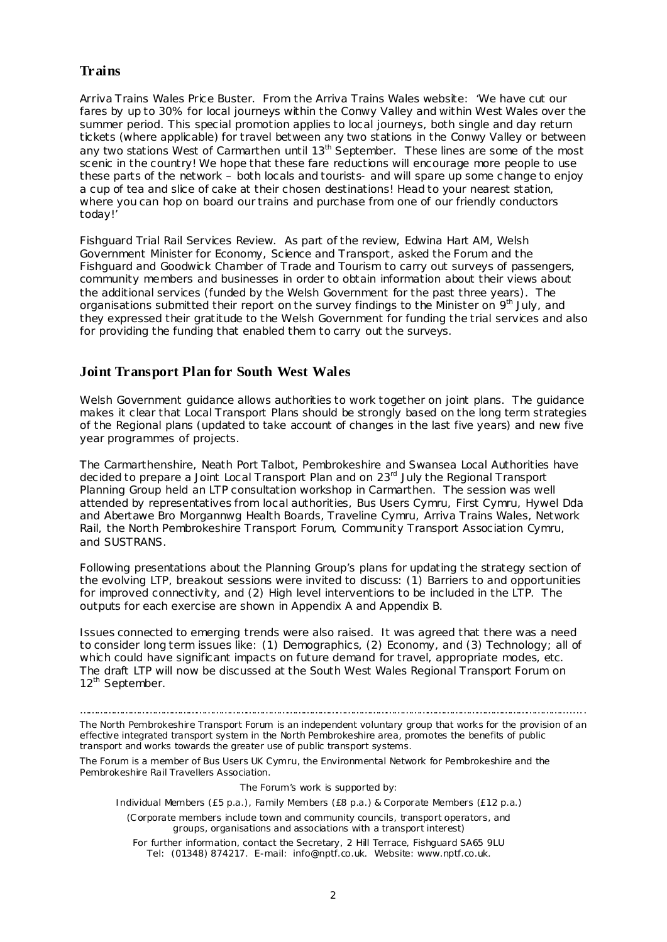#### **Trains**

*Arriva Trains Wales Price Buster.* From the Arriva Trains Wales website: 'We have cut our fares by up to 30% for local journeys within the Conwy Valley and within West Wales over the summer period. This special promotion applies to local journeys, both single and day return tickets (where applicable) for travel between any two stations in the Conwy Valley or between any two stations West of Carmarthen until 13<sup>th</sup> September. These lines are some of the most scenic in the country! We hope that these fare reductions will encourage more people to use these parts of the network – both locals and tourists- and will spare up some change to enjoy a cup of tea and slice of cake at their chosen destinations! Head to your nearest station, where you can hop on board our trains and purchase from one of our friendly conductors today!'

*Fishguard Trial Rail Services Review.* As part of the review, Edwina Hart AM, Welsh Government Minister for Economy, Science and Transport, asked the Forum and the Fishguard and Goodwick Chamber of Trade and Tourism to carry out surveys of passengers, community members and businesses in order to obtain information about their views about the additional services (funded by the Welsh Government for the past three years). The organisations submitted their report on the survey findings to the Minister on 9<sup>th</sup> July, and they expressed their gratitude to the Welsh Government for funding the trial services and also for providing the funding that enabled them to carry out the surveys.

#### **Joint Transport Plan for South West Wales**

Welsh Government guidance allows authorities to work together on joint plans. The guidance makes it clear that Local Transport Plans should be strongly based on the long term strategies of the Regional plans (updated to take account of changes in the last five years) and new five year programmes of projects.

The Carmarthenshire, Neath Port Talbot, Pembrokeshire and Swansea Local Authorities have decided to prepare a Joint Local Transport Plan and on 23<sup>rd</sup> July the Regional Transport Planning Group held an LTP consultation workshop in Carmarthen. The session was well attended by representatives from local authorities, Bus Users Cymru, First Cymru, Hywel Dda and Abertawe Bro Morgannwg Health Boards, Traveline Cymru, Arriva Trains Wales, Network Rail, the North Pembrokeshire Transport Forum, Community Transport Association Cymru, and SUSTRANS.

Following presentations about the Planning Group's plans for updating the strategy section of the evolving LTP, breakout sessions were invited to discuss: (1) Barriers to and opportunities for improved connectivity, and (2) High level interventions to be included in the LTP. The outputs for each exercise are shown in Appendix A and Appendix B.

Issues connected to emerging trends were also raised. It was agreed that there was a need to consider long term issues like: (1) Demographics, (2) Economy, and (3) Technology; all of which could have significant impacts on future demand for travel, appropriate modes, etc. The draft LTP will now be discussed at the South West Wales Regional Transport Forum on 12<sup>th</sup> September.

…………………………………………………………………………………………………………………………………………………………........ The North Pembrokeshire Transport Forum is an independent voluntary group that works for the provision of an effective integrated transport system in the North Pembrokeshire area, promotes the benefits of public transport and works towards the greater use of public transport systems.

The Forum is a member of Bus Users UK Cymru, the Environmental Network for Pembrokeshire and the Pembrokeshire Rail Travellers Association.

The Forum's work is supported by:

Individual Members (£5 p.a.), Family Members (£8 p.a.) & Corporate Members (£12 p.a.)

(Corporate members include town and community councils, transport operators, and groups, organisations and associations with a transport interest)

For further information, contact the Secretary, 2 Hill Terrace, Fishguard SA65 9LU Tel: (01348) 874217. E-mail: [info@nptf.co.uk.](mailto:info@nptf.co.uk) Website: [www.nptf.co.uk.](http://www.nptf.co.uk/)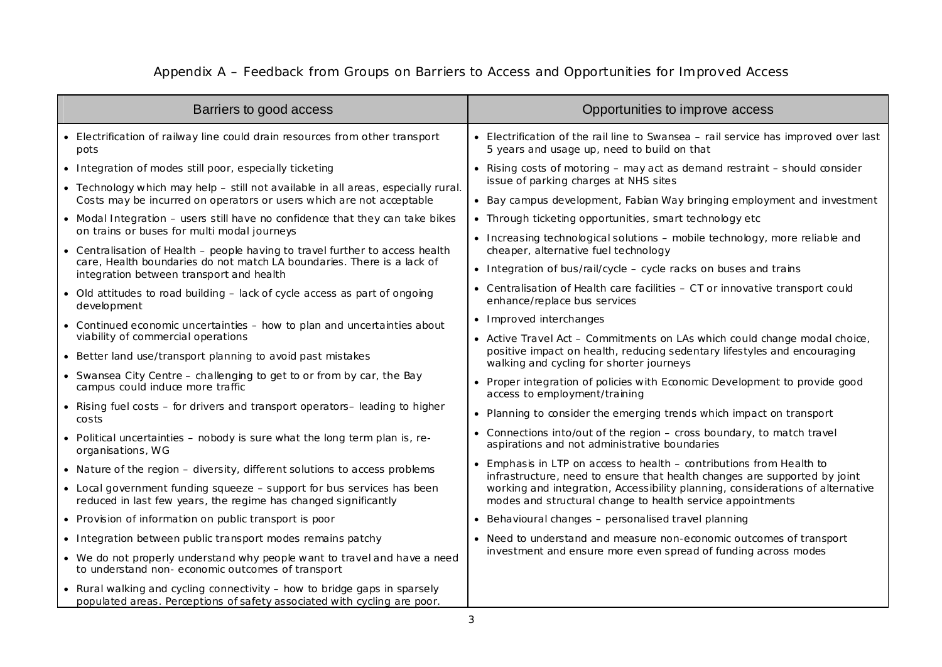### Appendix A – Feedback from Groups on Barriers to Access and Opportunities for Improved Access

| Barriers to good access                                                                                                                                   | Opportunities to improve access                                                                                                                                                                   |
|-----------------------------------------------------------------------------------------------------------------------------------------------------------|---------------------------------------------------------------------------------------------------------------------------------------------------------------------------------------------------|
| • Electrification of railway line could drain resources from other transport<br>pots                                                                      | • Electrification of the rail line to Swansea - rail service has improved over last<br>5 years and usage up, need to build on that                                                                |
| • Integration of modes still poor, especially ticketing                                                                                                   | • Rising costs of motoring – may act as demand restraint – should consider<br>issue of parking charges at NHS sites                                                                               |
| • Technology which may help - still not available in all areas, especially rural.<br>Costs may be incurred on operators or users which are not acceptable | • Bay campus development, Fabian Way bringing employment and investment                                                                                                                           |
| • Modal Integration - users still have no confidence that they can take bikes                                                                             | • Through ticketing opportunities, smart technology etc                                                                                                                                           |
| on trains or buses for multi modal journeys<br>• Centralisation of Health – people having to travel further to access health                              | • Increasing technological solutions - mobile technology, more reliable and<br>cheaper, alternative fuel technology                                                                               |
| care, Health boundaries do not match LA boundaries. There is a lack of<br>integration between transport and health                                        | • Integration of bus/rail/cycle - cycle racks on buses and trains                                                                                                                                 |
| • Old attitudes to road building - lack of cycle access as part of ongoing<br>development                                                                 | • Centralisation of Health care facilities - CT or innovative transport could<br>enhance/replace bus services                                                                                     |
| • Continued economic uncertainties - how to plan and uncertainties about                                                                                  | • Improved interchanges                                                                                                                                                                           |
| viability of commercial operations                                                                                                                        | • Active Travel Act - Commitments on LAs which could change modal choice,<br>positive impact on health, reducing sedentary lifestyles and encouraging<br>walking and cycling for shorter journeys |
| • Better land use/transport planning to avoid past mistakes                                                                                               |                                                                                                                                                                                                   |
| • Swansea City Centre - challenging to get to or from by car, the Bay<br>campus could induce more traffic                                                 | • Proper integration of policies with Economic Development to provide good<br>access to employment/training                                                                                       |
| • Rising fuel costs - for drivers and transport operators-leading to higher<br>costs                                                                      | • Planning to consider the emerging trends which impact on transport                                                                                                                              |
| • Political uncertainties – nobody is sure what the long term plan is, re-<br>organisations, WG                                                           | • Connections into/out of the region - cross boundary, to match travel<br>aspirations and not administrative boundaries                                                                           |
| • Nature of the region - diversity, different solutions to access problems                                                                                | • Emphasis in LTP on access to health - contributions from Health to<br>infrastructure, need to ensure that health changes are supported by joint                                                 |
| • Local government funding squeeze – support for bus services has been<br>reduced in last few years, the regime has changed significantly                 | working and integration, Accessibility planning, considerations of alternative<br>modes and structural change to health service appointments                                                      |
| • Provision of information on public transport is poor                                                                                                    | • Behavioural changes - personalised travel planning                                                                                                                                              |
| • Integration between public transport modes remains patchy                                                                                               | • Need to understand and measure non-economic outcomes of transport<br>investment and ensure more even spread of funding across modes                                                             |
| • We do not properly understand why people want to travel and have a need<br>to understand non-economic outcomes of transport                             |                                                                                                                                                                                                   |
| • Rural walking and cycling connectivity - how to bridge gaps in sparsely<br>populated areas. Perceptions of safety associated with cycling are poor.     |                                                                                                                                                                                                   |